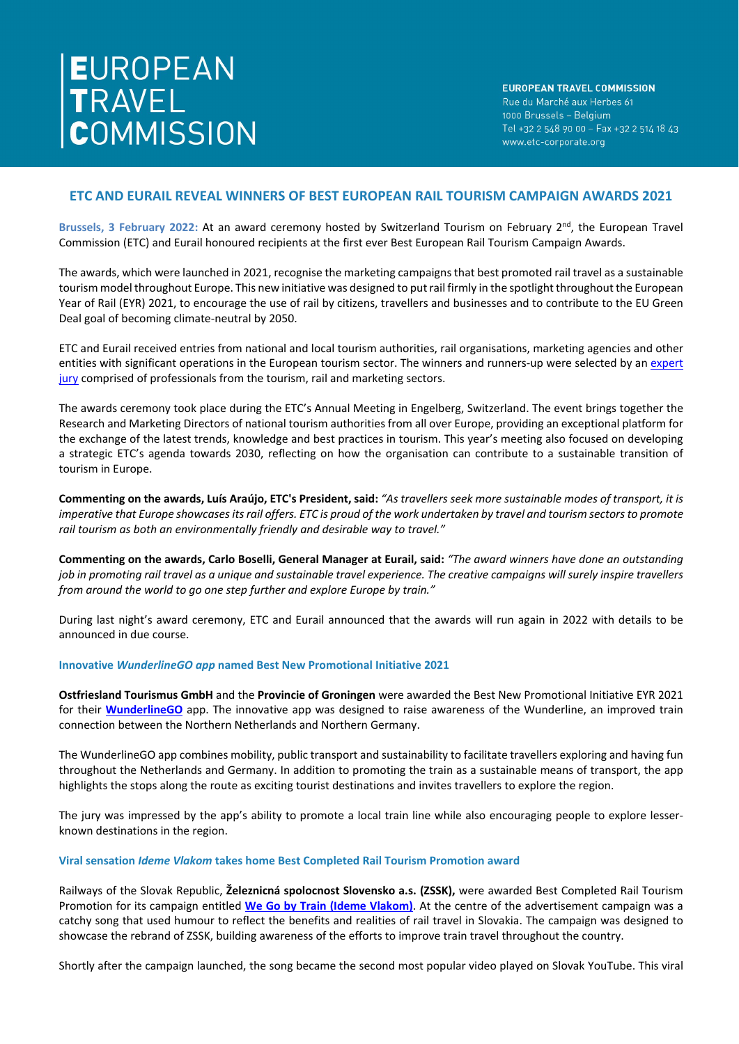**EUROPEAN TRAVEL COMMISSION** Rue du Marché aux Herbes 61 1000 Brussels - Belgium Tel +32 2 548 90 00 - Fax +32 2 514 18 43 www.etc-corporate.org

# **ETC AND EURAIL REVEAL WINNERS OF BEST EUROPEAN RAIL TOURISM CAMPAIGN AWARDS 2021**

**Brussels, 3 February 2022:** At an award ceremony hosted by Switzerland Tourism on February 2nd, the European Travel Commission (ETC) and Eurail honoured recipients at the first ever Best European Rail Tourism Campaign Awards.

The awards, which were launched in 2021, recognise the marketing campaigns that best promoted rail travel as a sustainable tourism model throughout Europe. This new initiative was designed to put rail firmly in the spotlight throughout the European Year of Rail (EYR) 2021, to encourage the use of rail by citizens, travellers and businesses and to contribute to the EU Green Deal goal of becoming climate-neutral by 2050.

ETC and Eurail received entries from national and local tourism authorities, rail organisations, marketing agencies and other entities with significant operations in the European tourism sector. The winners and runners-up were selected by an expert [jury](https://etc-corporate.org/best-european-rail-tourism-campaign-2021/) comprised of professionals from the tourism, rail and marketing sectors.

The awards ceremony took place during the ETC's Annual Meeting in Engelberg, Switzerland. The event brings together the Research and Marketing Directors of national tourism authorities from all over Europe, providing an exceptional platform for the exchange of the latest trends, knowledge and best practices in tourism. This year's meeting also focused on developing a strategic ETC's agenda towards 2030, reflecting on how the organisation can contribute to a sustainable transition of tourism in Europe.

**Commenting on the awards, Luís Araújo, ETC's President, said:** *"As travellers seek more sustainable modes of transport, it is imperative that Europe showcases its rail offers. ETC is proud of the work undertaken by travel and tourism sectors to promote rail tourism as both an environmentally friendly and desirable way to travel."*

**Commenting on the awards, Carlo Boselli, General Manager at Eurail, said:** *"The award winners have done an outstanding job in promoting rail travel as a unique and sustainable travel experience. The creative campaigns will surely inspire travellers from around the world to go one step further and explore Europe by train."*

During last night's award ceremony, ETC and Eurail announced that the awards will run again in 2022 with details to be announced in due course.

### **Innovative** *WunderlineGO app* **named Best New Promotional Initiative 2021**

**Ostfriesland Tourismus GmbH** and the **Provincie of Groningen** were awarded the Best New Promotional Initiative EYR 2021 for their **[WunderlineGO](https://wunderline.nl/en/wunderline-go/)** app. The innovative app was designed to raise awareness of the Wunderline, an improved train connection between the Northern Netherlands and Northern Germany.

The WunderlineGO app combines mobility, public transport and sustainability to facilitate travellers exploring and having fun throughout the Netherlands and Germany. In addition to promoting the train as a sustainable means of transport, the app highlights the stops along the route as exciting tourist destinations and invites travellers to explore the region.

The jury was impressed by the app's ability to promote a local train line while also encouraging people to explore lesserknown destinations in the region.

## **Viral sensation** *Ideme Vlakom* **takes home Best Completed Rail Tourism Promotion award**

Railways of the Slovak Republic, **Železnicná spolocnost Slovensko a.s. (ZSSK),** were awarded Best Completed Rail Tourism Promotion for its campaign entitled **[We Go by Train](https://www.youtube.com/watch?v=skAnPH2d-QA) (Ideme Vlakom)**. At the centre of the advertisement campaign was a catchy song that used humour to reflect the benefits and realities of rail travel in Slovakia. The campaign was designed to showcase the rebrand of ZSSK, building awareness of the efforts to improve train travel throughout the country.

Shortly after the campaign launched, the song became the second most popular video played on Slovak YouTube. This viral